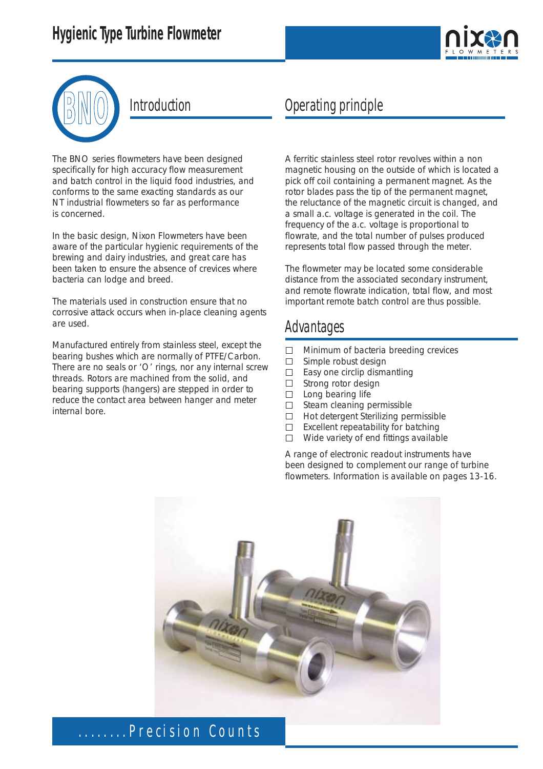



The BNO series flowmeters have been designed specifically for high accuracy flow measurement and batch control in the liquid food industries, and conforms to the same exacting standards as our NT industrial flowmeters so far as performance is concerned.

In the basic design, Nixon Flowmeters have been aware of the particular hygienic requirements of the brewing and dairy industries, and great care has been taken to ensure the absence of crevices where bacteria can lodge and breed.

The materials used in construction ensure that no corrosive attack occurs when in-place cleaning agents are used.

Manufactured entirely from stainless steel, except the bearing bushes which are normally of PTFE/Carbon. There are no seals or 'O' rings, nor any internal screw threads. Rotors are machined from the solid, and bearing supports (hangers) are stepped in order to reduce the contact area between hanger and meter internal bore.

### Introduction Operating principle

A ferritic stainless steel rotor revolves within a non magnetic housing on the outside of which is located a pick off coil containing a permanent magnet. As the rotor blades pass the tip of the permanent magnet, the reluctance of the magnetic circuit is changed, and a small a.c. voltage is generated in the coil. The frequency of the a.c. voltage is proportional to flowrate, and the total number of pulses produced represents total flow passed through the meter.

The flowmeter may be located some considerable distance from the associated secondary instrument, and remote flowrate indication, total flow, and most important remote batch control are thus possible.

#### Advantages

- $\Box$ Minimum of bacteria breeding crevices
- $\Box$ Simple robust design
- $\Box$ Easy one circlip dismantling
- $\Box$ Strong rotor design
- $\Box$ Long bearing life
- $\Box$ Steam cleaning permissible
- $\Box$ Hot detergent Sterilizing permissible
- $\Box$ Excellent repeatability for batching
- $\Box$ Wide variety of end fittings available

A range of electronic readout instruments have been designed to complement our range of turbine flowmeters. Information is available on pages 13-16.

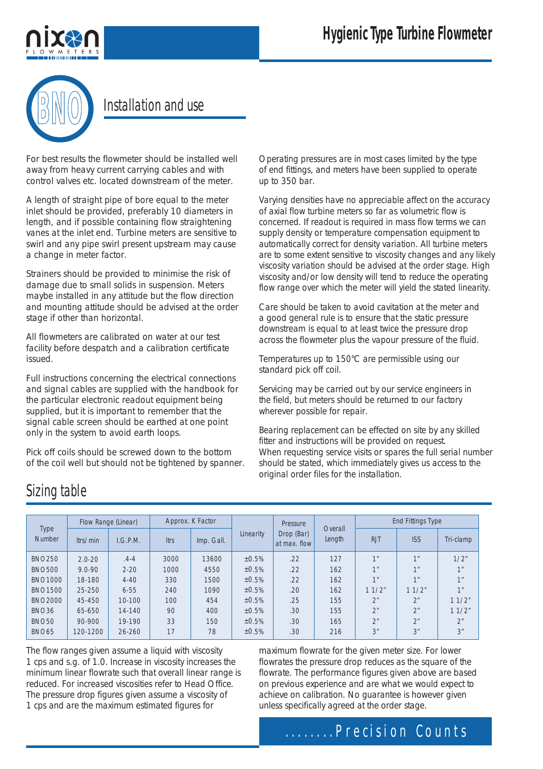

#### **BNO** Installation and use

For best results the flowmeter should be installed well away from heavy current carrying cables and with control valves etc. located downstream of the meter.

A length of straight pipe of bore equal to the meter inlet should be provided, preferably 10 diameters in length, and if possible containing flow straightening vanes at the inlet end. Turbine meters are sensitive to swirl and any pipe swirl present upstream may cause a change in meter factor.

Strainers should be provided to minimise the risk of damage due to small solids in suspension. Meters maybe installed in any attitude but the flow direction and mounting attitude should be advised at the order stage if other than horizontal.

All flowmeters are calibrated on water at our test facility before despatch and a calibration certificate issued.

Full instructions concerning the electrical connections and signal cables are supplied with the handbook for the particular electronic readout equipment being supplied, but it is important to remember that the signal cable screen should be earthed at one point only in the system to avoid earth loops.

Pick off coils should be screwed down to the bottom of the coil well but should not be tightened by spanner. Operating pressures are in most cases limited by the type of end fittings, and meters have been supplied to operate up to 350 bar.

Varying densities have no appreciable affect on the accuracy of axial flow turbine meters so far as volumetric flow is concerned. If readout is required in mass flow terms we can supply density or temperature compensation equipment to automatically correct for density variation. All turbine meters are to some extent sensitive to viscosity changes and any likely viscosity variation should be advised at the order stage. High viscosity and/or low density will tend to reduce the operating flow range over which the meter will yield the stated linearity.

Care should be taken to avoid cavitation at the meter and a good general rule is to ensure that the static pressure downstream is equal to at least twice the pressure drop across the flowmeter plus the vapour pressure of the fluid.

Temperatures up to 150°C are permissible using our standard pick off coil.

Servicing may be carried out by our service engineers in the field, but meters should be returned to our factory wherever possible for repair.

Bearing replacement can be effected on site by any skilled fitter and instructions will be provided on request. When requesting service visits or spares the full serial number should be stated, which immediately gives us access to the original order files for the installation.

### Sizing table

| Type<br><b>Number</b> | Flow Range (Linear) |            | Approx. K Factor |            |           | Pressure                   |                   | <b>End Fittings Type</b> |                 |                 |
|-----------------------|---------------------|------------|------------------|------------|-----------|----------------------------|-------------------|--------------------------|-----------------|-----------------|
|                       | ltrs/min            | I.G.P.M.   | Itrs             | Imp. Gall. | Linearity | Drop (Bar)<br>at max. flow | Overall<br>Length | <b>RJT</b>               | <b>ISS</b>      | Tri-clamp       |
| <b>BNO250</b>         | $2.0 - 20$          | $.4 - 4$   | 3000             | 13600      | ±0.5%     | .22                        | 127               | 1 <sup>''</sup>          | 1 <sup>''</sup> | 1/2"            |
| <b>BNO500</b>         | $9.0 - 90$          | $2 - 20$   | 1000             | 4550       | ±0.5%     | .22                        | 162               | 1 <sup>''</sup>          | 1 <sup>''</sup> | 1 <sup>''</sup> |
| <b>BNO1000</b>        | 18-180              | $4 - 40$   | 330              | 1500       | ±0.5%     | .22                        | 162               | 1 <sup>''</sup>          | 1 <sub>II</sub> | 1 <sup>''</sup> |
| <b>BNO1500</b>        | 25-250              | $6 - 55$   | 240              | 1090       | ±0.5%     | .20                        | 162               | 11/2"                    | 11/2"           | 1 <sup>II</sup> |
| <b>BNO2000</b>        | 45-450              | $10 - 100$ | 100              | 454        | ±0.5%     | .25                        | 155               | 2 <sup>n</sup>           | 2 <sup>n</sup>  | 11/2"           |
| <b>BNO36</b>          | 65-650              | 14-140     | 90               | 400        | ±0.5%     | .30                        | 155               | 2 <sup>n</sup>           | 2 <sup>n</sup>  | 11/2"           |
| <b>BNO50</b>          | 90-900              | 19-190     | 33               | 150        | ±0.5%     | .30                        | 165               | 2 <sup>n</sup>           | 2 <sup>n</sup>  | 2 <sup>n</sup>  |
| <b>BNO65</b>          | 120-1200            | 26-260     | 17               | 78         | ±0.5%     | .30                        | 216               | 3"                       | 3"              | 3"              |

The flow ranges given assume a liquid with viscosity 1 cps and s.g. of 1.0. Increase in viscosity increases the minimum linear flowrate such that overall linear range is reduced. For increased viscosities refer to Head Office. The pressure drop figures given assume a viscosity of 1 cps and are the maximum estimated figures for

maximum flowrate for the given meter size. For lower flowrates the pressure drop reduces as the square of the flowrate. The performance figures given above are based on previous experience and are what we would expect to achieve on calibration. No guarantee is however given unless specifically agreed at the order stage.

#### ........Precision Counts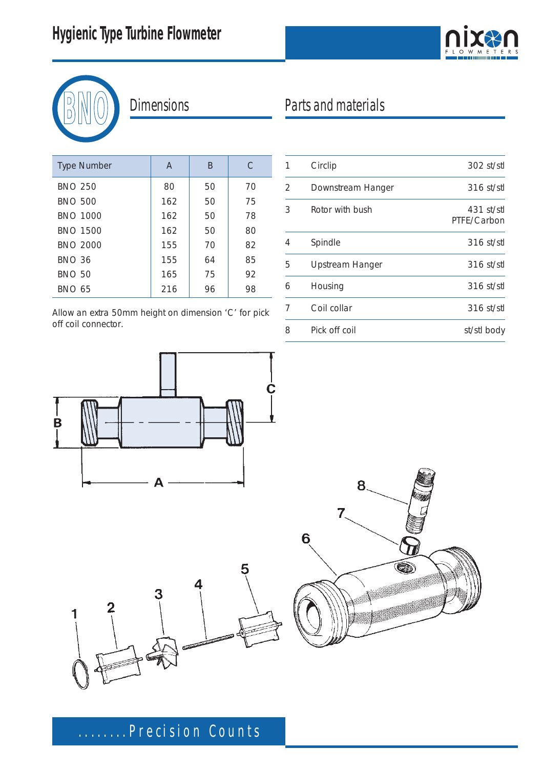



## **Dimensions**

| <b>Type Number</b> | A   | B  | C  |
|--------------------|-----|----|----|
| <b>BNO 250</b>     | 80  | 50 | 70 |
| <b>BNO 500</b>     | 162 | 50 | 75 |
| <b>BNO 1000</b>    | 162 | 50 | 78 |
| <b>BNO 1500</b>    | 162 | 50 | 80 |
| <b>BNO 2000</b>    | 155 | 70 | 82 |
| <b>BNO 36</b>      | 155 | 64 | 85 |
| <b>BNO 50</b>      | 165 | 75 | 92 |
| <b>BNO 65</b>      | 216 | 96 | 98 |

Allow an extra 50mm height on dimension 'C' for pick off coil connector.

# Parts and materials

| 1 | Circlip           | 302 st/stl                  |
|---|-------------------|-----------------------------|
| 2 | Downstream Hanger | $316$ st/stl                |
| 3 | Rotor with bush   | $431$ st/stl<br>PTFE/Carbon |
| 4 | Spindle           | $316$ st/stl                |
| 5 | Upstream Hanger   | $316$ st/stl                |
| 6 | Housing           | $316$ st/stl                |
| 7 | Coil collar       | $316$ st/stl                |
| 8 | Pick off coil     | st/stl body                 |
|   |                   |                             |